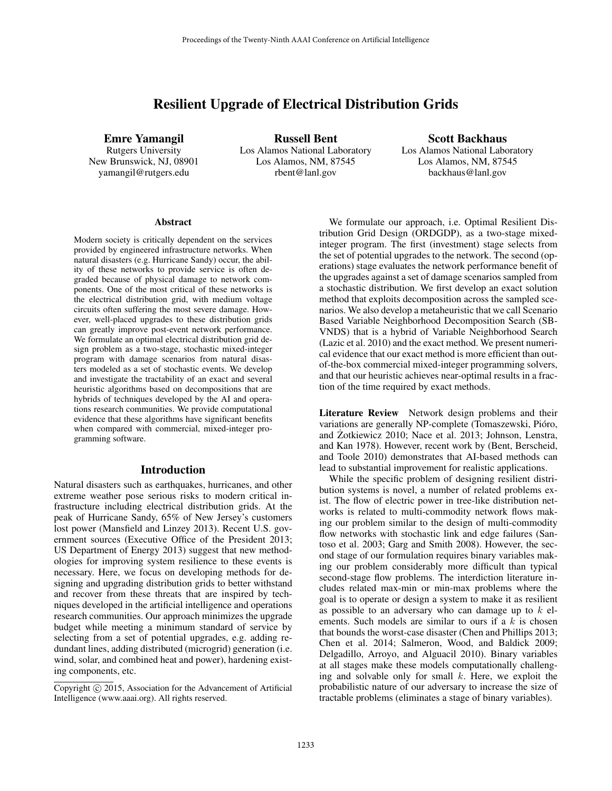# Resilient Upgrade of Electrical Distribution Grids

Emre Yamangil Rutgers University

New Brunswick, NJ, 08901 yamangil@rutgers.edu

Russell Bent Los Alamos National Laboratory Los Alamos, NM, 87545 rbent@lanl.gov

Scott Backhaus Los Alamos National Laboratory Los Alamos, NM, 87545 backhaus@lanl.gov

#### Abstract

Modern society is critically dependent on the services provided by engineered infrastructure networks. When natural disasters (e.g. Hurricane Sandy) occur, the ability of these networks to provide service is often degraded because of physical damage to network components. One of the most critical of these networks is the electrical distribution grid, with medium voltage circuits often suffering the most severe damage. However, well-placed upgrades to these distribution grids can greatly improve post-event network performance. We formulate an optimal electrical distribution grid design problem as a two-stage, stochastic mixed-integer program with damage scenarios from natural disasters modeled as a set of stochastic events. We develop and investigate the tractability of an exact and several heuristic algorithms based on decompositions that are hybrids of techniques developed by the AI and operations research communities. We provide computational evidence that these algorithms have significant benefits when compared with commercial, mixed-integer programming software.

#### Introduction

Natural disasters such as earthquakes, hurricanes, and other extreme weather pose serious risks to modern critical infrastructure including electrical distribution grids. At the peak of Hurricane Sandy, 65% of New Jersey's customers lost power (Mansfield and Linzey 2013). Recent U.S. government sources (Executive Office of the President 2013; US Department of Energy 2013) suggest that new methodologies for improving system resilience to these events is necessary. Here, we focus on developing methods for designing and upgrading distribution grids to better withstand and recover from these threats that are inspired by techniques developed in the artificial intelligence and operations research communities. Our approach minimizes the upgrade budget while meeting a minimum standard of service by selecting from a set of potential upgrades, e.g. adding redundant lines, adding distributed (microgrid) generation (i.e. wind, solar, and combined heat and power), hardening existing components, etc.

We formulate our approach, i.e. Optimal Resilient Distribution Grid Design (ORDGDP), as a two-stage mixedinteger program. The first (investment) stage selects from the set of potential upgrades to the network. The second (operations) stage evaluates the network performance benefit of the upgrades against a set of damage scenarios sampled from a stochastic distribution. We first develop an exact solution method that exploits decomposition across the sampled scenarios. We also develop a metaheuristic that we call Scenario Based Variable Neighborhood Decomposition Search (SB-VNDS) that is a hybrid of Variable Neighborhood Search (Lazic et al. 2010) and the exact method. We present numerical evidence that our exact method is more efficient than outof-the-box commercial mixed-integer programming solvers, and that our heuristic achieves near-optimal results in a fraction of the time required by exact methods.

Literature Review Network design problems and their variations are generally NP-complete (Tomaszewski, Pióro, and Żotkiewicz 2010; Nace et al. 2013; Johnson, Lenstra, and Kan 1978). However, recent work by (Bent, Berscheid, and Toole 2010) demonstrates that AI-based methods can lead to substantial improvement for realistic applications.

While the specific problem of designing resilient distribution systems is novel, a number of related problems exist. The flow of electric power in tree-like distribution networks is related to multi-commodity network flows making our problem similar to the design of multi-commodity flow networks with stochastic link and edge failures (Santoso et al. 2003; Garg and Smith 2008). However, the second stage of our formulation requires binary variables making our problem considerably more difficult than typical second-stage flow problems. The interdiction literature includes related max-min or min-max problems where the goal is to operate or design a system to make it as resilient as possible to an adversary who can damage up to  $k$  elements. Such models are similar to ours if a  $k$  is chosen that bounds the worst-case disaster (Chen and Phillips 2013; Chen et al. 2014; Salmeron, Wood, and Baldick 2009; Delgadillo, Arroyo, and Alguacil 2010). Binary variables at all stages make these models computationally challenging and solvable only for small  $k$ . Here, we exploit the probabilistic nature of our adversary to increase the size of tractable problems (eliminates a stage of binary variables).

Copyright (c) 2015, Association for the Advancement of Artificial Intelligence (www.aaai.org). All rights reserved.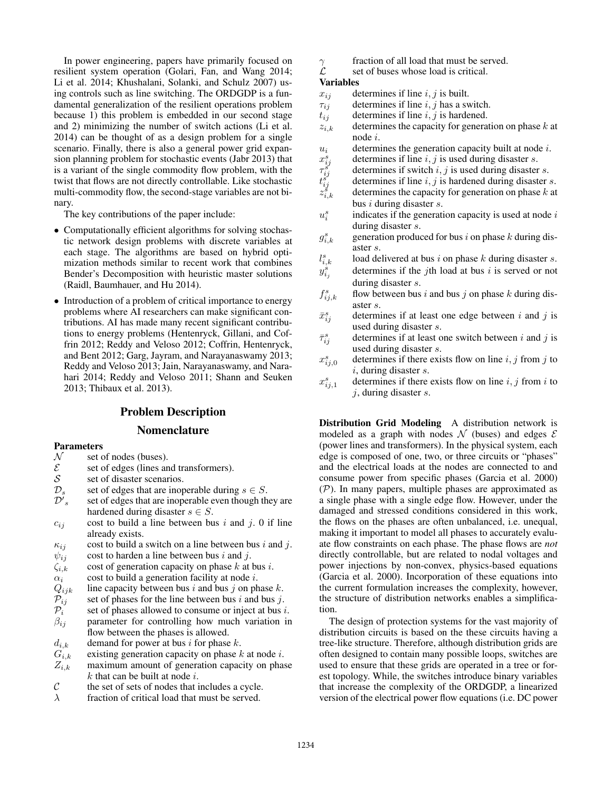In power engineering, papers have primarily focused on resilient system operation (Golari, Fan, and Wang 2014; Li et al. 2014; Khushalani, Solanki, and Schulz 2007) using controls such as line switching. The ORDGDP is a fundamental generalization of the resilient operations problem because 1) this problem is embedded in our second stage and 2) minimizing the number of switch actions (Li et al. 2014) can be thought of as a design problem for a single scenario. Finally, there is also a general power grid expansion planning problem for stochastic events (Jabr 2013) that is a variant of the single commodity flow problem, with the twist that flows are not directly controllable. Like stochastic multi-commodity flow, the second-stage variables are not binary.

The key contributions of the paper include:

- Computationally efficient algorithms for solving stochastic network design problems with discrete variables at each stage. The algorithms are based on hybrid optimization methods similar to recent work that combines Bender's Decomposition with heuristic master solutions (Raidl, Baumhauer, and Hu 2014).
- Introduction of a problem of critical importance to energy problems where AI researchers can make significant contributions. AI has made many recent significant contributions to energy problems (Hentenryck, Gillani, and Coffrin 2012; Reddy and Veloso 2012; Coffrin, Hentenryck, and Bent 2012; Garg, Jayram, and Narayanaswamy 2013; Reddy and Veloso 2013; Jain, Narayanaswamy, and Narahari 2014; Reddy and Veloso 2011; Shann and Seuken 2013; Thibaux et al. 2013).

# Problem Description

# Nomenclature

## Parameters

- $N$  set of nodes (buses).<br>  $\mathcal{E}$  set of edges (lines and
- $\mathcal{E}$  set of edges (lines and transformers).<br>
S set of disaster scenarios.
- $S$  set of disaster scenarios.<br> $D_s$  set of edges that are inop
- set of edges that are inoperable during  $s \in S$ .
- $\mathcal{D}'$ set of edges that are inoperable even though they are hardened during disaster  $s \in S$ .
- $c_{ij}$  cost to build a line between bus i and j. 0 if line already exists.
- $\kappa_{ij}$  cost to build a switch on a line between bus i and j.
- $\psi_{ij}$  cost to harden a line between bus i and j.
- $\zeta_{i,k}$  cost of generation capacity on phase k at bus i.
- 
- $\alpha_i$  cost to build a generation facility at node *i*.<br>  $Q_{ijk}$  line capacity between bus *i* and bus *j* on ph<br>  $\mathcal{P}_{ij}$  set of phases for the line between bus *i* and line capacity between bus i and bus j on phase  $k$ .
- 
- $\mathcal{P}_{ij}$  set of phases for the line between bus i and bus j.<br>  $\mathcal{P}_i$  set of phases allowed to consume or inject at bus i
- $P_i$  set of phases allowed to consume or inject at bus *i*.<br>  $\beta_{ij}$  parameter for controlling how much variation in parameter for controlling how much variation in flow between the phases is allowed.
- $d_{i,k}$  demand for power at bus i for phase k.
- $G_{i,k}$  existing generation capacity on phase k at node i.
- $Z_{i,k}$  maximum amount of generation capacity on phase  $k$  that can be built at node  $i$ .
- $\mathcal{C}$  the set of sets of nodes that includes a cycle.
- $\lambda$  fraction of critical load that must be served.
- $\gamma$  fraction of all load that must be served.<br>  $\beta$  set of buses whose load is critical.
- set of buses whose load is critical.

### Variables

- $x_{ij}$  determines if line i, j is built.
- $\tau_{ij}$  determines if line i, j has a switch.
- $t_{ij}$  determines if line i, j is hardened.
- $z_{i,k}$  determines the capacity for generation on phase k at node i.
- $u_i$  determines the generation capacity built at node i.
- $x_i^s$ determines if line  $i, j$  is used during disaster s.
- $\tau_i^{\v{s}}$ determines if switch  $i, j$  is used during disaster s.
- $t_i^{\v{s}}$ determines if line  $i, j$  is hardened during disaster s.  $z_i^s$ determines the capacity for generation on phase  $k$  at
- bus i during disaster s.
- $u_i^s$ indicates if the generation capacity is used at node  $i$ during disaster s.
- $g_i^s$ generation produced for bus i on phase  $k$  during disaster s.
- l s load delivered at bus  $i$  on phase  $k$  during disaster  $s$ .
- $y_{i_j}^{\hat s}$ determines if the *j*th load at bus  $i$  is served or not during disaster s.
- $f_i^s$ flow between bus i and bus j on phase k during disaster s.
- $\bar{x}_i^s$ determines if at least one edge between i and j is used during disaster s.
- $\bar{\tau}^s_i$ determines if at least one switch between  $i$  and  $j$  is used during disaster s.
- $x_{ij,0}^s$ determines if there exists flow on line  $i, j$  from  $j$  to  $i$ , during disaster  $s$ .
- $x_{ij,1}^s$ determines if there exists flow on line  $i, j$  from  $i$  to  $i$ , during disaster s.

Distribution Grid Modeling A distribution network is modeled as a graph with nodes  $N$  (buses) and edges  $\mathcal E$ (power lines and transformers). In the physical system, each edge is composed of one, two, or three circuits or "phases" and the electrical loads at the nodes are connected to and consume power from specific phases (Garcia et al. 2000) (P). In many papers, multiple phases are approximated as a single phase with a single edge flow. However, under the damaged and stressed conditions considered in this work, the flows on the phases are often unbalanced, i.e. unequal, making it important to model all phases to accurately evaluate flow constraints on each phase. The phase flows are *not* directly controllable, but are related to nodal voltages and power injections by non-convex, physics-based equations (Garcia et al. 2000). Incorporation of these equations into the current formulation increases the complexity, however, the structure of distribution networks enables a simplification.

The design of protection systems for the vast majority of distribution circuits is based on the these circuits having a tree-like structure. Therefore, although distribution grids are often designed to contain many possible loops, switches are used to ensure that these grids are operated in a tree or forest topology. While, the switches introduce binary variables that increase the complexity of the ORDGDP, a linearized version of the electrical power flow equations (i.e. DC power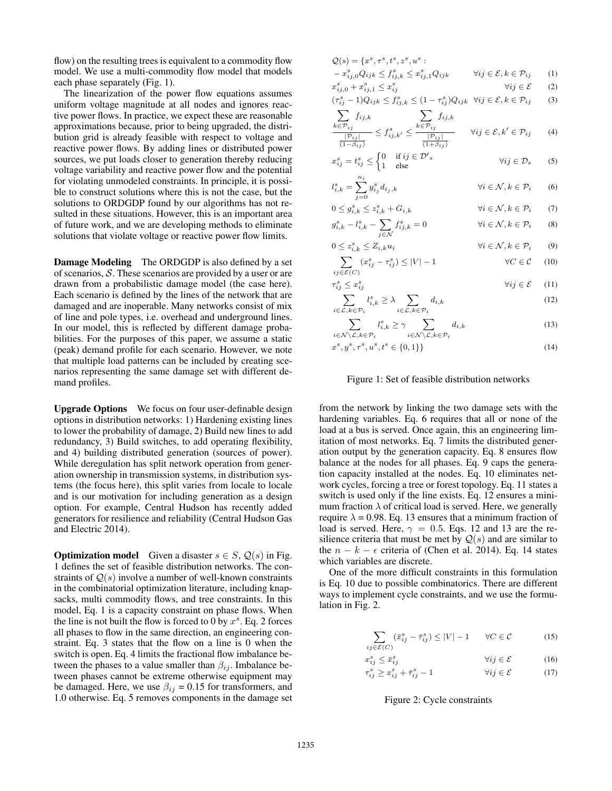flow) on the resulting trees is equivalent to a commodity flow model. We use a multi-commodity flow model that models each phase separately (Fig. 1).

The linearization of the power flow equations assumes uniform voltage magnitude at all nodes and ignores reactive power flows. In practice, we expect these are reasonable approximations because, prior to being upgraded, the distribution grid is already feasible with respect to voltage and reactive power flows. By adding lines or distributed power sources, we put loads closer to generation thereby reducing voltage variability and reactive power flow and the potential for violating unmodeled constraints. In principle, it is possible to construct solutions where this is not the case, but the solutions to ORDGDP found by our algorithms has not resulted in these situations. However, this is an important area of future work, and we are developing methods to eliminate solutions that violate voltage or reactive power flow limits.

Damage Modeling The ORDGDP is also defined by a set of scenarios,  $S$ . These scenarios are provided by a user or are drawn from a probabilistic damage model (the case here). Each scenario is defined by the lines of the network that are damaged and are inoperable. Many networks consist of mix of line and pole types, i.e. overhead and underground lines. In our model, this is reflected by different damage probabilities. For the purposes of this paper, we assume a static (peak) demand profile for each scenario. However, we note that multiple load patterns can be included by creating scenarios representing the same damage set with different demand profiles.

Upgrade Options We focus on four user-definable design options in distribution networks: 1) Hardening existing lines to lower the probability of damage, 2) Build new lines to add redundancy, 3) Build switches, to add operating flexibility, and 4) building distributed generation (sources of power). While deregulation has split network operation from generation ownership in transmission systems, in distribution systems (the focus here), this split varies from locale to locale and is our motivation for including generation as a design option. For example, Central Hudson has recently added generators for resilience and reliability (Central Hudson Gas and Electric 2014).

**Optimization model** Given a disaster  $s \in S$ ,  $\mathcal{Q}(s)$  in Fig. 1 defines the set of feasible distribution networks. The constraints of  $Q(s)$  involve a number of well-known constraints in the combinatorial optimization literature, including knapsacks, multi commodity flows, and tree constraints. In this model, Eq. 1 is a capacity constraint on phase flows. When the line is not built the flow is forced to 0 by  $x^s$ . Eq. 2 forces all phases to flow in the same direction, an engineering constraint. Eq. 3 states that the flow on a line is 0 when the switch is open. Eq. 4 limits the fractional flow imbalance between the phases to a value smaller than  $\beta_{ij}$ . Imbalance between phases cannot be extreme otherwise equipment may be damaged. Here, we use  $\beta_{ij} = 0.15$  for transformers, and 1.0 otherwise. Eq. 5 removes components in the damage set

$$
Q(s) = \{x^s, \tau^s, t^s, z^s, u^s :
$$
  

$$
x^s \quad Q_{\text{max}} < t^s \quad \langle x^s \quad Q_{\text{max}} \quad \forall i \in S, h \in \mathcal{P}_{\text{min}} \tag{1}
$$

$$
- x_{ij,0}^s Q_{ijk} \le f_{ij,k}^s \le x_{ij,1}^s Q_{ijk} \qquad \forall ij \in \mathcal{E}, k \in \mathcal{P}_{ij} \tag{1}
$$

 $x_{ij,0}^s + x_{ij,1}^s \leq x_i^s$  $\forall ij \in \mathcal{E}$  (2) s  $\overline{11Q}$ s s

$$
(\tau_{ij}^s - 1)Q_{ijk} \le f_{ij,k}^s \le (1 - \tau_{ij}^s)Q_{ijk} \quad \forall ij \in \mathcal{E}, k \in \mathcal{P}_{ij} \tag{3}
$$

$$
\sum f_{ij,k} = \sum f_{ij,k}
$$

$$
\frac{\sum_{k \in \mathcal{P}_{ij}} f_{ij,k}}{\frac{|\mathcal{P}_{ij}|}{(1 - \beta_{ij})}} \le f_{ij,k'}^s \le \frac{\sum_{k \in \mathcal{P}_{ij}} f_{ij,k}}{\frac{|\mathcal{P}_{ij}|}{(1 + \beta_{ij})}} \qquad \forall ij \in \mathcal{E}, k' \in \mathcal{P}_{ij} \tag{4}
$$

$$
x_{ij}^s = t_{ij}^s \le \begin{cases} 0 & \text{if } ij \in \mathcal{D}'s \\ 1 & \text{else} \end{cases} \qquad \qquad \forall ij \in \mathcal{D}_s \qquad (5)
$$

$$
l_{i,k}^s = \sum_{j=0}^{n_i} y_{i_j}^s d_{i_j,k} \qquad \qquad \forall i \in \mathcal{N}, k \in \mathcal{P}_i \qquad (6)
$$

$$
0 \le g_{i,k}^s \le z_{i,k}^s + G_{i,k} \qquad \qquad \forall i \in \mathcal{N}, k \in \mathcal{P}_i \qquad (7)
$$

$$
g_{i,k}^s - l_{i,k}^s - \sum_{j \in \mathcal{N}} f_{ij,k}^s = 0 \qquad \forall i \in \mathcal{N}, k \in \mathcal{P}_i \qquad (8)
$$

$$
0 \le z_{i,k}^s \le Z_{i,k} u_i \qquad \forall i \in \mathcal{N}, k \in \mathcal{P}_i \qquad (9)
$$
  

$$
\sum (x_i^s - \tau_i^s) < |V| - 1 \qquad \forall C \in \mathcal{C} \qquad (10)
$$

$$
\sum_{ij \in \mathcal{E}(C)} (x_{ij}^s - \tau_{ij}^s) \le |V| - 1 \qquad \forall C \in \mathcal{C} \quad (10)
$$

$$
\tau_{ij}^s \le x_{ij}^s
$$
\n
$$
\sum_{i=1}^s l_i^s > \lambda \sum_{i=1}^s d_{i,k} \tag{12}
$$

$$
\sum_{i \in \mathcal{L}, k \in \mathcal{P}_i} l_{i,k}^s \ge \lambda \sum_{i \in \mathcal{L}, k \in \mathcal{P}_i} d_{i,k} \tag{12}
$$

$$
\sum_{i \in \mathcal{N} \setminus \mathcal{L}, k \in \mathcal{P}_i} l_{i,k}^s \ge \gamma \sum_{i \in \mathcal{N} \setminus \mathcal{L}, k \in \mathcal{P}_i} d_{i,k} \tag{13}
$$

$$
x^s, y^s, \tau^s, u^s, t^s \in \{0, 1\} \} \tag{14}
$$

## Figure 1: Set of feasible distribution networks

from the network by linking the two damage sets with the hardening variables. Eq. 6 requires that all or none of the load at a bus is served. Once again, this an engineering limitation of most networks. Eq. 7 limits the distributed generation output by the generation capacity. Eq. 8 ensures flow balance at the nodes for all phases. Eq. 9 caps the generation capacity installed at the nodes. Eq. 10 eliminates network cycles, forcing a tree or forest topology. Eq. 11 states a switch is used only if the line exists. Eq. 12 ensures a minimum fraction  $\lambda$  of critical load is served. Here, we generally require  $\lambda = 0.98$ . Eq. 13 ensures that a minimum fraction of load is served. Here,  $\gamma = 0.5$ . Eqs. 12 and 13 are the resilience criteria that must be met by  $Q(s)$  and are similar to the  $n - k - \epsilon$  criteria of (Chen et al. 2014). Eq. 14 states which variables are discrete.

One of the more difficult constraints in this formulation is Eq. 10 due to possible combinatorics. There are different ways to implement cycle constraints, and we use the formulation in Fig. 2.

$$
\sum (\bar{x}_{ij}^s - \bar{\tau}_{ij}^s) \le |V| - 1 \qquad \forall C \in \mathcal{C}
$$
 (15)

$$
ij\in\mathcal{E}(C)
$$
\n
$$
r^s < \bar{\pi}^s \tag{16}
$$

$$
x_{ij}^s \le \bar{x}_{ij}^s \qquad \qquad \forall ij \in \mathcal{E} \tag{16}
$$
  

$$
\tau^s > \tau^s + \bar{\tau}^s = 1 \qquad \qquad \forall ii \in \mathcal{E} \tag{17}
$$

$$
\tau_{ij}^s \ge x_{ij}^s + \bar{\tau}_{ij}^s - 1 \qquad \qquad \forall ij \in \mathcal{E} \tag{17}
$$

Figure 2: Cycle constraints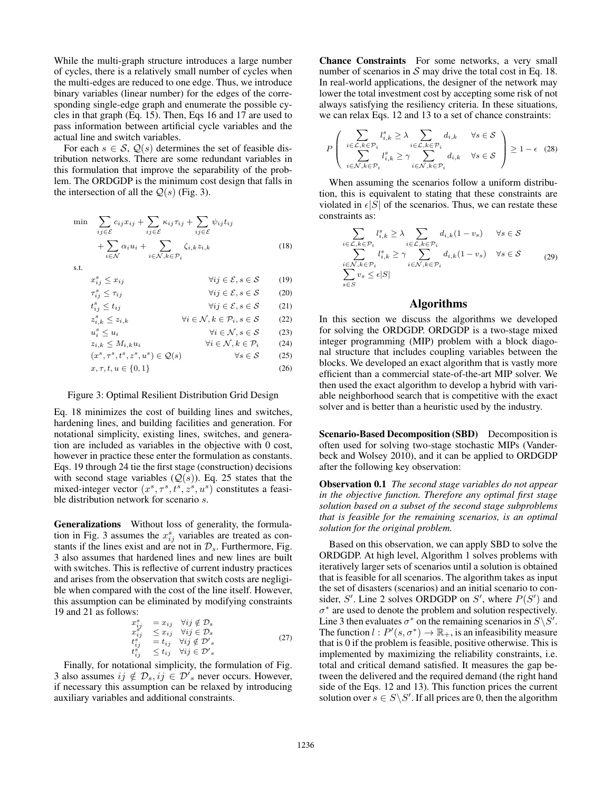While the multi-graph structure introduces a large number of cycles, there is a relatively small number of cycles when the multi-edges are reduced to one edge. Thus, we introduce binary variables (linear number) for the edges of the corresponding single-edge graph and enumerate the possible cycles in that graph (Eq. 15). Then, Eqs 16 and 17 are used to pass information between artificial cycle variables and the actual line and switch variables.

For each  $s \in S$ ,  $Q(s)$  determines the set of feasible distribution networks. There are some redundant variables in this formulation that improve the separability of the problem. The ORDGDP is the minimum cost design that falls in the intersection of all the  $Q(s)$  (Fig. 3).

$$
\min \sum_{ij \in \mathcal{E}} c_{ij} x_{ij} + \sum_{ij \in \mathcal{E}} \kappa_{ij} \tau_{ij} + \sum_{ij \in \mathcal{E}} \psi_{ij} t_{ij} \n+ \sum_{i \in \mathcal{N}} \alpha_i u_i + \sum_{i \in \mathcal{N}, k \in \mathcal{P}_i} \zeta_{i,k} z_{i,k}
$$
\n
$$
\text{s.t.} \tag{18}
$$

 $x_i^s$  $\forall ij \in \mathcal{E}, s \in \mathcal{S}$  (19)  $\tau_i^s$  $\forall ij \in \mathcal{E}, s \in \mathcal{S}$  (20)  $t_i^s$  $\forall ij \in \mathcal{E}, s \in \mathcal{S}$  (21)  $z_i^s$  $\forall i \in \mathcal{N}, k \in \mathcal{P}_i, s \in \mathcal{S}$  (22)  $u_i^s$  $\forall i \in \mathcal{N}, s \in \mathcal{S}$  (23)<br>  $\forall i \in \mathcal{N}, k \in \mathcal{P}_i$  (24)  $z_{i,k} \leq M_{i,k}u_i$   $\forall i \in \mathcal{N}, k \in \mathcal{P}_i$  (24) (x s , τ <sup>s</sup> , t<sup>s</sup> , z<sup>s</sup> , u<sup>s</sup> ) ∈ Q(s) ∀s ∈ S (25)  $x, \tau, t, u \in \{0, 1\}$  (26)

#### Figure 3: Optimal Resilient Distribution Grid Design

Eq. 18 minimizes the cost of building lines and switches, hardening lines, and building facilities and generation. For notational simplicity, existing lines, switches, and generation are included as variables in the objective with 0 cost, however in practice these enter the formulation as constants. Eqs. 19 through 24 tie the first stage (construction) decisions with second stage variables  $(Q(s))$ . Eq. 25 states that the mixed-integer vector  $(x^s, \tau^s, t^s, z^s, u^s)$  constitutes a feasible distribution network for scenario s.

Generalizations Without loss of generality, the formulation in Fig. 3 assumes the  $x_{ij}^s$  variables are treated as constants if the lines exist and are not in  $\mathcal{D}_s$ . Furthermore, Fig. 3 also assumes that hardened lines and new lines are built with switches. This is reflective of current industry practices and arises from the observation that switch costs are negligible when compared with the cost of the line itself. However, this assumption can be eliminated by modifying constraints 19 and 21 as follows:

$$
x_{ij}^s = x_{ij} \quad \forall ij \notin \mathcal{D}_s
$$
  
\n
$$
x_{ij}^s = x_{ij} \quad \forall ij \in \mathcal{D}_s
$$
  
\n
$$
t_{ij}^s = t_{ij} \quad \forall ij \notin \mathcal{D}'_s
$$
  
\n
$$
t_{ij}^s \leq t_{ij} \quad \forall ij \in \mathcal{D}'_s
$$
\n(27)

Finally, for notational simplicity, the formulation of Fig. 3 also assumes  $ij \notin \mathcal{D}_s, ij \in \mathcal{D}'_s$  never occurs. However, if necessary this assumption can be relaxed by introducing auxiliary variables and additional constraints.

Chance Constraints For some networks, a very small number of scenarios in  $S$  may drive the total cost in Eq. 18. In real-world applications, the designer of the network may lower the total investment cost by accepting some risk of not always satisfying the resiliency criteria. In these situations, we can relax Eqs. 12 and 13 to a set of chance constraints:

$$
P\left(\begin{array}{ll}\sum_{i\in\mathcal{L},k\in\mathcal{P}_i}l_{i,k}^s\geq\lambda\sum_{i\in\mathcal{L},k\in\mathcal{P}_i}d_{i,k} & \forall s\in\mathcal{S}\\\sum_{i\in\mathcal{N},k\in\mathcal{P}_i}l_{i,k}^s\geq\gamma\sum_{i\in\mathcal{N},k\in\mathcal{P}_i}d_{i,k} & \forall s\in\mathcal{S}\end{array}\right)\geq1-\epsilon\quad(28)
$$

When assuming the scenarios follow a uniform distribution, this is equivalent to stating that these constraints are violated in  $\epsilon |S|$  of the scenarios. Thus, we can restate these constraints as:

$$
\sum_{i \in \mathcal{L}, k \in \mathcal{P}_i} l_{i,k}^s \ge \lambda \sum_{i \in \mathcal{L}, k \in \mathcal{P}_i} d_{i,k} (1 - v_s) \quad \forall s \in \mathcal{S}
$$
\n
$$
\sum_{i \in \mathcal{N}, k \in \mathcal{P}_i} l_{i,k}^s \ge \gamma \sum_{i \in \mathcal{N}, k \in \mathcal{P}_i} d_{i,k} (1 - v_s) \quad \forall s \in \mathcal{S}
$$
\n
$$
\sum_{s \in S} v_s \le \epsilon |S|
$$
\n(29)

# Algorithms

In this section we discuss the algorithms we developed for solving the ORDGDP. ORDGDP is a two-stage mixed integer programming (MIP) problem with a block diagonal structure that includes coupling variables between the blocks. We developed an exact algorithm that is vastly more efficient than a commercial state-of-the-art MIP solver. We then used the exact algorithm to develop a hybrid with variable neighborhood search that is competitive with the exact solver and is better than a heuristic used by the industry.

Scenario-Based Decomposition (SBD) Decomposition is often used for solving two-stage stochastic MIPs (Vanderbeck and Wolsey 2010), and it can be applied to ORDGDP after the following key observation:

Observation 0.1 *The second stage variables do not appear in the objective function. Therefore any optimal first stage solution based on a subset of the second stage subproblems that is feasible for the remaining scenarios, is an optimal solution for the original problem.*

Based on this observation, we can apply SBD to solve the ORDGDP. At high level, Algorithm 1 solves problems with iteratively larger sets of scenarios until a solution is obtained that is feasible for all scenarios. The algorithm takes as input the set of disasters (scenarios) and an initial scenario to consider, S'. Line 2 solves ORDGDP on S', where  $P(S')$  and  $\sigma^*$  are used to denote the problem and solution respectively. Line 3 then evaluates  $\sigma^*$  on the remaining scenarios in  $S \backslash S'$ . The function  $l: P'(s, \sigma^*) \to \mathbb{R}_+$ , is an infeasibility measure that is 0 if the problem is feasible, positive otherwise. This is implemented by maximizing the reliability constraints, i.e. total and critical demand satisfied. It measures the gap between the delivered and the required demand (the right hand side of the Eqs. 12 and 13). This function prices the current solution over  $s \in S \backslash S'$ . If all prices are 0, then the algorithm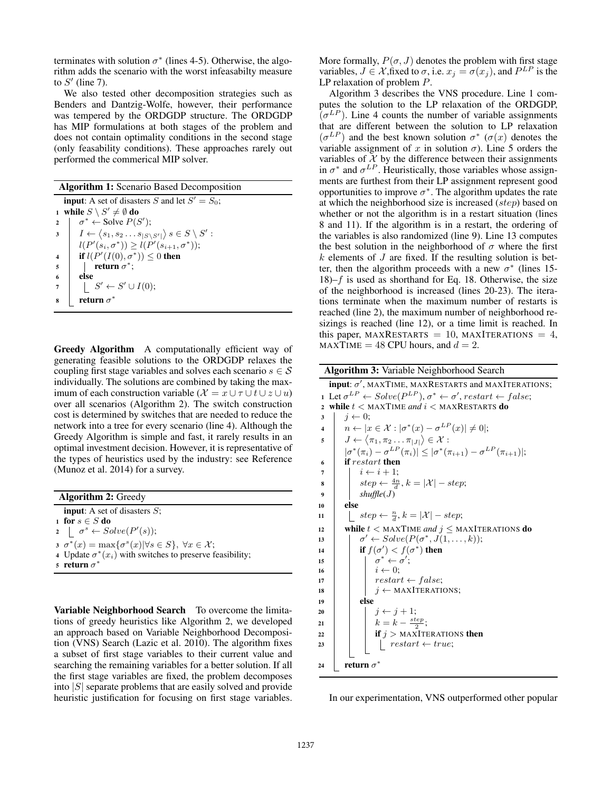terminates with solution  $\sigma^*$  (lines 4-5). Otherwise, the algorithm adds the scenario with the worst infeasabilty measure to  $S'$  (line 7).

We also tested other decomposition strategies such as Benders and Dantzig-Wolfe, however, their performance was tempered by the ORDGDP structure. The ORDGDP has MIP formulations at both stages of the problem and does not contain optimality conditions in the second stage (only feasability conditions). These approaches rarely out performed the commerical MIP solver.

| <b>Algorithm 1:</b> Scenario Based Decomposition                                               |  |  |  |  |  |  |  |  |  |
|------------------------------------------------------------------------------------------------|--|--|--|--|--|--|--|--|--|
| <b>input:</b> A set of disasters S and let $S' = S_0$ ;                                        |  |  |  |  |  |  |  |  |  |
| 1 while $S \setminus S' \neq \emptyset$ do                                                     |  |  |  |  |  |  |  |  |  |
| $\sigma^* \leftarrow$ Solve $P(S')$ ;<br>$\overline{2}$                                        |  |  |  |  |  |  |  |  |  |
| $I \leftarrow \langle s_1, s_2 \dots s_{ S \setminus S' } \rangle s \in S \setminus S'$ :<br>3 |  |  |  |  |  |  |  |  |  |
| $l(P'(s_i, \sigma^*)) \geq l(P'(s_{i+1}, \sigma^*));$                                          |  |  |  |  |  |  |  |  |  |
| if $l(P'(I(0), \sigma^*)) \leq 0$ then                                                         |  |  |  |  |  |  |  |  |  |
| return $\sigma^*$ ;<br>5                                                                       |  |  |  |  |  |  |  |  |  |
| else<br>6                                                                                      |  |  |  |  |  |  |  |  |  |
| $\vert S' \leftarrow S' \cup I(0);$                                                            |  |  |  |  |  |  |  |  |  |
| return $\sigma^*$                                                                              |  |  |  |  |  |  |  |  |  |
|                                                                                                |  |  |  |  |  |  |  |  |  |

Greedy Algorithm A computationally efficient way of generating feasible solutions to the ORDGDP relaxes the coupling first stage variables and solves each scenario  $s \in \mathcal{S}$ individually. The solutions are combined by taking the maximum of each construction variable ( $\mathcal{X} = x \cup \tau \cup t \cup z \cup u$ ) over all scenarios (Algorithm 2). The switch construction cost is determined by switches that are needed to reduce the network into a tree for every scenario (line 4). Although the Greedy Algorithm is simple and fast, it rarely results in an optimal investment decision. However, it is representative of the types of heuristics used by the industry: see Reference (Munoz et al. 2014) for a survey.

Algorithm 2: Greedy **input:** A set of disasters  $S$ ; 1 for  $s \in S$  do 2  $\sigma^s \leftarrow Solve(P'(s));$  $\sigma^*(x) = \max{\lbrace \sigma^s(x) | \forall s \in S \rbrace}, \ \forall x \in \mathcal{X};$ 4 Update  $\sigma^*(x_i)$  with switches to preserve feasibility; <sup>5</sup> return σ ∗

Variable Neighborhood Search To overcome the limitations of greedy heuristics like Algorithm 2, we developed an approach based on Variable Neighborhood Decomposition (VNS) Search (Lazic et al. 2010). The algorithm fixes a subset of first stage variables to their current value and searching the remaining variables for a better solution. If all the first stage variables are fixed, the problem decomposes into  $|S|$  separate problems that are easily solved and provide heuristic justification for focusing on first stage variables.

More formally,  $P(\sigma, J)$  denotes the problem with first stage variables,  $J \in \mathcal{X}$ , fixed to  $\sigma$ , i.e.  $x_j = \sigma(x_j)$ , and  $P^{LP}$  is the LP relaxation of problem P.

Algorithm 3 describes the VNS procedure. Line 1 computes the solution to the LP relaxation of the ORDGDP,  $(\sigma^{LP})$ . Line 4 counts the number of variable assignments that are different between the solution to LP relaxation  $(\sigma^{LP})$  and the best known solution  $\sigma^*$  ( $\sigma(x)$  denotes the variable assignment of x in solution  $\sigma$ ). Line 5 orders the variables of  $X$  by the difference between their assignments in  $\sigma^*$  and  $\sigma^{LP}$ . Heuristically, those variables whose assignments are furthest from their LP assignment represent good opportunities to improve  $\sigma^*$ . The algorithm updates the rate at which the neighborhood size is increased (step) based on whether or not the algorithm is in a restart situation (lines 8 and 11). If the algorithm is in a restart, the ordering of the variables is also randomized (line 9). Line 13 computes the best solution in the neighborhood of  $\sigma$  where the first  $k$  elements of  $J$  are fixed. If the resulting solution is better, then the algorithm proceeds with a new  $\sigma^*$  (lines 15- $18$ – $f$  is used as shorthand for Eq. 18. Otherwise, the size of the neighborhood is increased (lines 20-23). The iterations terminate when the maximum number of restarts is reached (line 2), the maximum number of neighborhood resizings is reached (line 12), or a time limit is reached. In this paper, MAXRESTARTS = 10, MAXITERATIONS = 4,  $MAXTIME = 48 CPU hours, and d = 2.$ 

| <b>Algorithm 3:</b> Variable Neighborhood Search           |                                                                                                    |  |  |  |  |  |  |  |  |
|------------------------------------------------------------|----------------------------------------------------------------------------------------------------|--|--|--|--|--|--|--|--|
| input: $\sigma'$ , MAXTIME, MAXRESTARTS and MAXITERATIONS; |                                                                                                    |  |  |  |  |  |  |  |  |
| $\mathbf{1}$                                               | Let $\sigma^{LP} \leftarrow Solve(P^{LP}), \sigma^* \leftarrow \sigma', restart \leftarrow false;$ |  |  |  |  |  |  |  |  |
| $\overline{2}$                                             | while $t <$ MAXTIME and $i <$ MAXRESTARTS do                                                       |  |  |  |  |  |  |  |  |
| 3                                                          | $i \leftarrow 0$ :                                                                                 |  |  |  |  |  |  |  |  |
| $\overline{\mathbf{4}}$                                    | $n \leftarrow  x \in \mathcal{X} :  \sigma^*(x) - \sigma^{LP}(x)  \neq 0;$                         |  |  |  |  |  |  |  |  |
| 5                                                          | $J \leftarrow \langle \pi_1, \pi_2 \dots \pi_{ J } \rangle \in \mathcal{X}$ :                      |  |  |  |  |  |  |  |  |
|                                                            | $ \sigma^*(\pi_i) - \sigma^{LP}(\pi_i)  \leq  \sigma^*(\pi_{i+1}) - \sigma^{LP}(\pi_{i+1}) ;$      |  |  |  |  |  |  |  |  |
| 6                                                          | <b>if</b> restart then                                                                             |  |  |  |  |  |  |  |  |
| 7                                                          | $i \leftarrow i + 1$ :                                                                             |  |  |  |  |  |  |  |  |
| 8                                                          | $step \leftarrow \frac{4n}{d}, k =  \mathcal{X}  - step;$                                          |  |  |  |  |  |  |  |  |
| 9                                                          | shuffle(J)                                                                                         |  |  |  |  |  |  |  |  |
| 10                                                         | else                                                                                               |  |  |  |  |  |  |  |  |
| 11                                                         | $step \leftarrow \frac{n}{d}, k =  \mathcal{X}  - step;$                                           |  |  |  |  |  |  |  |  |
| 12                                                         | while $t <$ MAXTIME and $j \leq$ MAXITERATIONS do                                                  |  |  |  |  |  |  |  |  |
| 13                                                         | $\sigma' \leftarrow Solve(P(\sigma^*, J(1, \ldots, k));$                                           |  |  |  |  |  |  |  |  |
| 14                                                         | if $f(\sigma') < f(\sigma^*)$ then                                                                 |  |  |  |  |  |  |  |  |
| 15                                                         | $\sigma^* \leftarrow \sigma';$<br>$i \leftarrow 0;$<br>$restart \leftarrow false;$                 |  |  |  |  |  |  |  |  |
| 16                                                         |                                                                                                    |  |  |  |  |  |  |  |  |
| 17                                                         |                                                                                                    |  |  |  |  |  |  |  |  |
| 18                                                         | $j \leftarrow$ MAXITERATIONS;                                                                      |  |  |  |  |  |  |  |  |
| 19                                                         | else                                                                                               |  |  |  |  |  |  |  |  |
| 20                                                         | $i \leftarrow i + 1$ ;                                                                             |  |  |  |  |  |  |  |  |
| 21                                                         | $k = k - \frac{step}{2};$                                                                          |  |  |  |  |  |  |  |  |
| 22                                                         | <b>if</b> $j >$ MAXITERATIONS <b>then</b>                                                          |  |  |  |  |  |  |  |  |
| 23                                                         | $restart \leftarrow true;$                                                                         |  |  |  |  |  |  |  |  |
|                                                            |                                                                                                    |  |  |  |  |  |  |  |  |
| 24                                                         | return $\sigma^*$                                                                                  |  |  |  |  |  |  |  |  |

In our experimentation, VNS outperformed other popular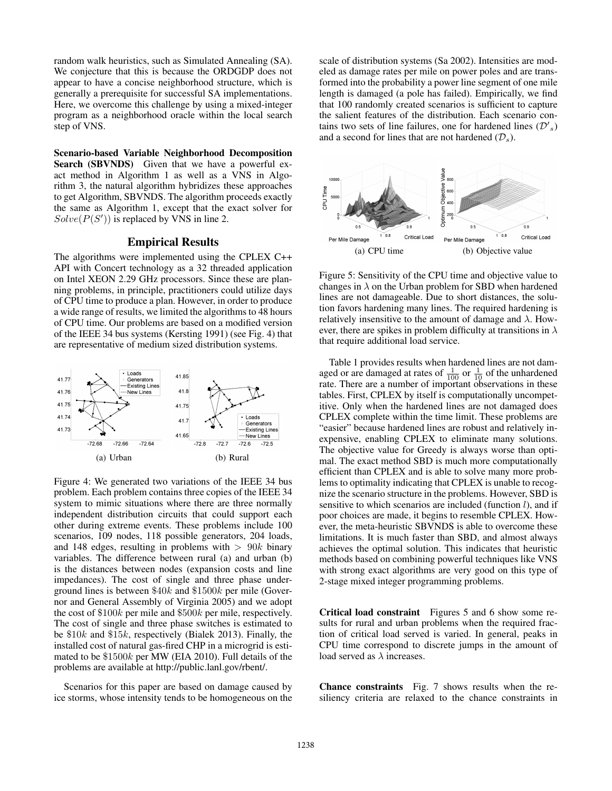random walk heuristics, such as Simulated Annealing (SA). We conjecture that this is because the ORDGDP does not appear to have a concise neighborhood structure, which is generally a prerequisite for successful SA implementations. Here, we overcome this challenge by using a mixed-integer program as a neighborhood oracle within the local search step of VNS.

Scenario-based Variable Neighborhood Decomposition Search (SBVNDS) Given that we have a powerful exact method in Algorithm 1 as well as a VNS in Algorithm 3, the natural algorithm hybridizes these approaches to get Algorithm, SBVNDS. The algorithm proceeds exactly the same as Algorithm 1, except that the exact solver for  $Solve(P(S'))$  is replaced by VNS in line 2.

# Empirical Results

The algorithms were implemented using the CPLEX C++ API with Concert technology as a 32 threaded application on Intel XEON 2.29 GHz processors. Since these are planning problems, in principle, practitioners could utilize days of CPU time to produce a plan. However, in order to produce a wide range of results, we limited the algorithms to 48 hours of CPU time. Our problems are based on a modified version of the IEEE 34 bus systems (Kersting 1991) (see Fig. 4) that are representative of medium sized distribution systems.



Figure 4: We generated two variations of the IEEE 34 bus problem. Each problem contains three copies of the IEEE 34 system to mimic situations where there are three normally independent distribution circuits that could support each other during extreme events. These problems include 100 scenarios, 109 nodes, 118 possible generators, 204 loads, and 148 edges, resulting in problems with  $> 90k$  binary variables. The difference between rural (a) and urban (b) is the distances between nodes (expansion costs and line impedances). The cost of single and three phase underground lines is between \$40k and \$1500k per mile (Governor and General Assembly of Virginia 2005) and we adopt the cost of \$100k per mile and \$500k per mile, respectively. The cost of single and three phase switches is estimated to be \$10k and \$15k, respectively (Bialek 2013). Finally, the installed cost of natural gas-fired CHP in a microgrid is estimated to be \$1500k per MW (EIA 2010). Full details of the problems are available at http://public.lanl.gov/rbent/.

Scenarios for this paper are based on damage caused by ice storms, whose intensity tends to be homogeneous on the

scale of distribution systems (Sa 2002). Intensities are modeled as damage rates per mile on power poles and are transformed into the probability a power line segment of one mile length is damaged (a pole has failed). Empirically, we find that 100 randomly created scenarios is sufficient to capture the salient features of the distribution. Each scenario contains two sets of line failures, one for hardened lines  $(\mathcal{D'}_s)$ and a second for lines that are not hardened  $(\mathcal{D}_s)$ .



Figure 5: Sensitivity of the CPU time and objective value to changes in  $\lambda$  on the Urban problem for SBD when hardened lines are not damageable. Due to short distances, the solution favors hardening many lines. The required hardening is relatively insensitive to the amount of damage and  $\lambda$ . However, there are spikes in problem difficulty at transitions in  $\lambda$ that require additional load service.

Table 1 provides results when hardened lines are not damaged or are damaged at rates of  $\frac{1}{100}$  or  $\frac{1}{10}$  of the unhardened rate. There are a number of important observations in these tables. First, CPLEX by itself is computationally uncompetitive. Only when the hardened lines are not damaged does CPLEX complete within the time limit. These problems are "easier" because hardened lines are robust and relatively inexpensive, enabling CPLEX to eliminate many solutions. The objective value for Greedy is always worse than optimal. The exact method SBD is much more computationally efficient than CPLEX and is able to solve many more problems to optimality indicating that CPLEX is unable to recognize the scenario structure in the problems. However, SBD is sensitive to which scenarios are included (function  $l$ ), and if poor choices are made, it begins to resemble CPLEX. However, the meta-heuristic SBVNDS is able to overcome these limitations. It is much faster than SBD, and almost always achieves the optimal solution. This indicates that heuristic methods based on combining powerful techniques like VNS with strong exact algorithms are very good on this type of 2-stage mixed integer programming problems.

Critical load constraint Figures 5 and 6 show some results for rural and urban problems when the required fraction of critical load served is varied. In general, peaks in CPU time correspond to discrete jumps in the amount of load served as  $\lambda$  increases.

Chance constraints Fig. 7 shows results when the resiliency criteria are relaxed to the chance constraints in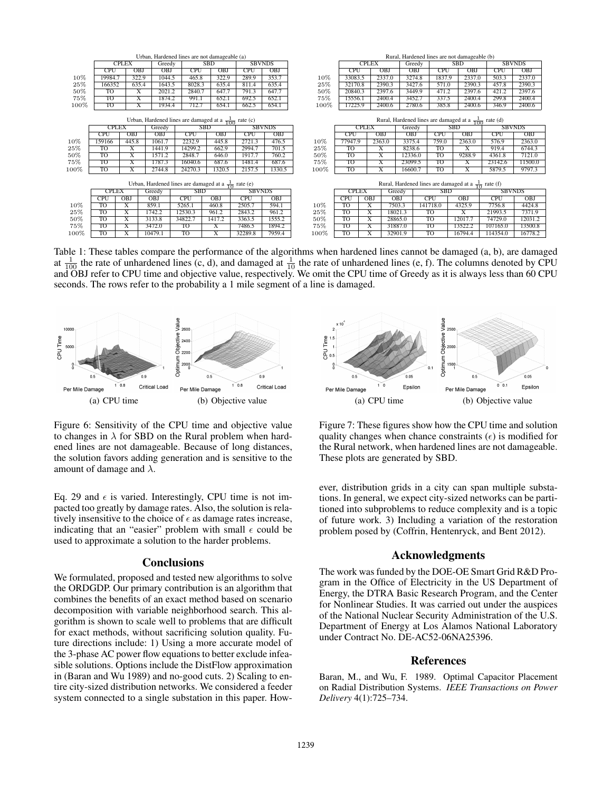|      |                        |                         | Urban, Hardened lines are not damageable (a) |                                                                 |                         | Rural, Hardened lines are not damageable (b) |                                                                 |        |              |                         |                         |            |            |                         |               |               |  |
|------|------------------------|-------------------------|----------------------------------------------|-----------------------------------------------------------------|-------------------------|----------------------------------------------|-----------------------------------------------------------------|--------|--------------|-------------------------|-------------------------|------------|------------|-------------------------|---------------|---------------|--|
|      | <b>CPLEX</b>           |                         | Greedy                                       |                                                                 | <b>SBD</b>              | <b>SBVNDS</b>                                |                                                                 |        | <b>CPLEX</b> |                         |                         | Greedy     | <b>SBD</b> |                         | <b>SBVNDS</b> |               |  |
|      | <b>CPU</b>             | <b>OBJ</b>              | OBJ                                          | <b>CPU</b>                                                      | <b>OBJ</b>              | <b>CPU</b>                                   | OBJ                                                             |        | <b>CPU</b>   |                         | OBJ                     | <b>OBJ</b> | <b>CPU</b> | OBJ                     | CPU           | OBJ           |  |
| 10%  | 19984.7                | 322.9                   | 1044.5                                       | 465.8                                                           | 322.9                   | 289.9                                        | 353.7                                                           | 10%    | 33083.5      |                         | 2337.0                  | 3274.8     | 1837.9     | 2337.0                  | 503.3         | 2337.0        |  |
| 25%  | 166352                 | 635.4                   | 1643.5                                       | 8028.3                                                          | 635.4                   | 811.4                                        | 635.4                                                           | 25%    | 32170.8      |                         | 2390.3                  | 3427.6     | 571.0      | 2390.3                  | 457.8         | 2390.3        |  |
| 50%  | T <sub>O</sub>         | X                       | 2021.2                                       | 2840.7                                                          | 647.7                   | 791.3                                        | 647.7                                                           | 50%    | 20840.3      |                         | 2397.6                  | 3449.9     | 471.2      | 2397.6                  | 421.2         | 2397.6        |  |
| 75%  | <b>TO</b>              | $\overline{\mathbf{X}}$ | 1874.2                                       | 991.1                                                           | 652.1                   | 692.5                                        | 652.1                                                           | 75%    | 15556.1      |                         | 2400.4                  | 3452.7     | 337.5      | 2400.4                  | 299.8         | 2400.4        |  |
| 100% | TO                     | $\overline{\text{X}}$   | 1934.4                                       | 712.7                                                           | 654.1                   | 662.5                                        | 654.1                                                           | 100%   | 17225.9      |                         | 2400.6                  | 2780.6     | 385.8      | 2400.6                  | 346.9         | 2400.6        |  |
|      |                        |                         |                                              |                                                                 |                         |                                              |                                                                 |        |              |                         |                         |            |            |                         |               |               |  |
|      |                        |                         |                                              | Urban, Hardened lines are damaged at a $\frac{1}{100}$ rate (c) |                         |                                              | Rural, Hardened lines are damaged at a $\frac{1}{100}$ rate (d) |        |              |                         |                         |            |            |                         |               |               |  |
|      | <b>CPLEX</b><br>Greedy |                         |                                              |                                                                 | <b>SBD</b>              |                                              | <b>SBVNDS</b>                                                   |        | <b>CPLEX</b> |                         |                         | Greedy     |            | SBD                     |               | <b>SBVNDS</b> |  |
|      | <b>CPU</b>             | <b>OBJ</b>              | <b>OBJ</b>                                   | <b>CPU</b>                                                      | OBJ                     | <b>CPU</b>                                   | OBJ                                                             |        | <b>CPU</b>   |                         | <b>OBJ</b>              | <b>OBJ</b> | <b>CPU</b> | <b>OBJ</b>              | <b>CPU</b>    | OBJ           |  |
| 10%  | 159166                 | 445.8                   | 1061.7                                       | 2232.9                                                          | 445.8                   | 2721.3                                       | 476.5                                                           | 10%    | 77947.9      |                         | 2363.0                  | 3375.4     | 759.0      | 2363.0                  | 576.9         | 2363.0        |  |
| 25%  | TO                     | X                       | 1441.9                                       | 14299.2                                                         | 662.9                   | 2994.7                                       | 701.5                                                           | 25%    | TO           |                         | X                       | 8238.6     | TO         | X                       | 919.4         | 6744.3        |  |
| 50%  | TO                     | $\overline{\text{X}}$   | 1571.2                                       | 2848.7                                                          | 646.0                   | 1917.7                                       | 760.2                                                           | 50%    | TO           |                         | Х                       | 12336.0    | TO         | 9288.9                  | 4361.8        | 7121.0        |  |
| 75%  | TO                     | Χ                       | 1787.3                                       | 16040.6                                                         | 687.6                   | 1481.4                                       | 687.6                                                           | 75%    | TO           |                         | X                       | 23099.5    | TO         | X                       | 23142.6       | 11500.0       |  |
| 100% | TO                     | $\overline{\mathrm{X}}$ | 2744.8                                       | 24270.3                                                         | 1320.5                  | 2157.5                                       | 1330.5                                                          | 100%   | <b>TO</b>    |                         | $\overline{\mathrm{X}}$ | 16600.7    | TO         | $\overline{\mathrm{X}}$ | 5879.5        | 9797.3        |  |
|      |                        |                         |                                              |                                                                 |                         |                                              |                                                                 |        |              |                         |                         |            |            |                         |               |               |  |
|      |                        |                         |                                              | Urban, Hardened lines are damaged at a $\frac{1}{10}$ rate (e)  |                         |                                              | Rural, Hardened lines are damaged at a $\frac{1}{10}$ rate (f)  |        |              |                         |                         |            |            |                         |               |               |  |
|      | <b>CPLEX</b>           |                         | Greedy                                       | <b>SBD</b>                                                      |                         | <b>SBVNDS</b>                                |                                                                 |        | <b>CPLEX</b> |                         | Greedy                  | <b>SBD</b> |            |                         |               | <b>SBVNDS</b> |  |
|      | <b>CPU</b>             | OBJ                     | <b>OBJ</b>                                   | <b>CPU</b>                                                      | <b>OBJ</b>              | <b>CPU</b>                                   | <b>OBJ</b>                                                      |        | <b>CPU</b>   | <b>OBJ</b>              | <b>OBJ</b>              |            | <b>CPU</b> | <b>OBJ</b>              | <b>CPU</b>    | <b>OBJ</b>    |  |
| 10%  | <b>TO</b>              | $\overline{\text{X}}$   | 859.1                                        | 5265.1                                                          | 460.8                   | 2505.7                                       | 594.1                                                           | $10\%$ | <b>TO</b>    | X                       | 7503.3                  |            | 141718.0   | 4325.9                  | 7756.8        | 4424.8        |  |
| 25%  | TO                     | $\overline{\text{X}}$   | 1742.2                                       | 12530.3                                                         | 961.2                   | 2843.2                                       | 961.2                                                           | 25%    | TO           | $\overline{\mathrm{X}}$ | 18021.3                 |            | TO         | $\overline{\mathbf{x}}$ | 21993.5       | 7371.9        |  |
| 50%  | <b>TO</b>              | $\overline{\text{X}}$   | 3133.8                                       | 34822.7                                                         | 1417.2                  | 3363.5                                       | 1555.2                                                          | 50%    | <b>TO</b>    | X                       | 28865.0                 |            | <b>TO</b>  | 12017.7                 | 74729.0       | 12031.2       |  |
| 75%  | TO                     | Х                       | 3472.0                                       | TO                                                              | Х                       | 7486.5                                       | 1894.2                                                          | 75%    | TO           | х                       | 31887.0                 |            | TO         | 13522.2                 | 107165.0      | 13500.8       |  |
| 100% | TO                     | $\overline{\text{X}}$   | 10479.1                                      | TO                                                              | $\overline{\mathrm{X}}$ | 32289.8                                      | 7959.4                                                          | 100%   | <b>TO</b>    | X                       | 32901.9                 |            | TO         | 16794.4                 | 114354.0      | 16778.2       |  |

Table 1: These tables compare the performance of the algorithms when hardened lines cannot be damaged (a, b), are damaged at  $\frac{1}{100}$  the rate of unhardened lines (c, d), and damaged at  $\frac{1}{10}$  the rate of unhardened lines (e, f). The columns denoted by CPU and OBJ refer to CPU time and objective value, respectively. We omit the CPU time of Greedy as it is always less than 60 CPU seconds. The rows refer to the probability a 1 mile segment of a line is damaged.



Figure 6: Sensitivity of the CPU time and objective value to changes in  $\lambda$  for SBD on the Rural problem when hardened lines are not damageable. Because of long distances, the solution favors adding generation and is sensitive to the amount of damage and  $\lambda$ .

Eq. 29 and  $\epsilon$  is varied. Interestingly, CPU time is not impacted too greatly by damage rates. Also, the solution is relatively insensitive to the choice of  $\epsilon$  as damage rates increase, indicating that an "easier" problem with small  $\epsilon$  could be used to approximate a solution to the harder problems.

#### Conclusions

We formulated, proposed and tested new algorithms to solve the ORDGDP. Our primary contribution is an algorithm that combines the benefits of an exact method based on scenario decomposition with variable neighborhood search. This algorithm is shown to scale well to problems that are difficult for exact methods, without sacrificing solution quality. Future directions include: 1) Using a more accurate model of the 3-phase AC power flow equations to better exclude infeasible solutions. Options include the DistFlow approximation in (Baran and Wu 1989) and no-good cuts. 2) Scaling to entire city-sized distribution networks. We considered a feeder system connected to a single substation in this paper. How-



Figure 7: These figures show how the CPU time and solution quality changes when chance constraints  $(\epsilon)$  is modified for the Rural network, when hardened lines are not damageable. These plots are generated by SBD.

ever, distribution grids in a city can span multiple substations. In general, we expect city-sized networks can be partitioned into subproblems to reduce complexity and is a topic of future work. 3) Including a variation of the restoration problem posed by (Coffrin, Hentenryck, and Bent 2012).

# Acknowledgments

The work was funded by the DOE-OE Smart Grid R&D Program in the Office of Electricity in the US Department of Energy, the DTRA Basic Research Program, and the Center for Nonlinear Studies. It was carried out under the auspices of the National Nuclear Security Administration of the U.S. Department of Energy at Los Alamos National Laboratory under Contract No. DE-AC52-06NA25396.

### References

Baran, M., and Wu, F. 1989. Optimal Capacitor Placement on Radial Distribution Systems. *IEEE Transactions on Power Delivery* 4(1):725–734.